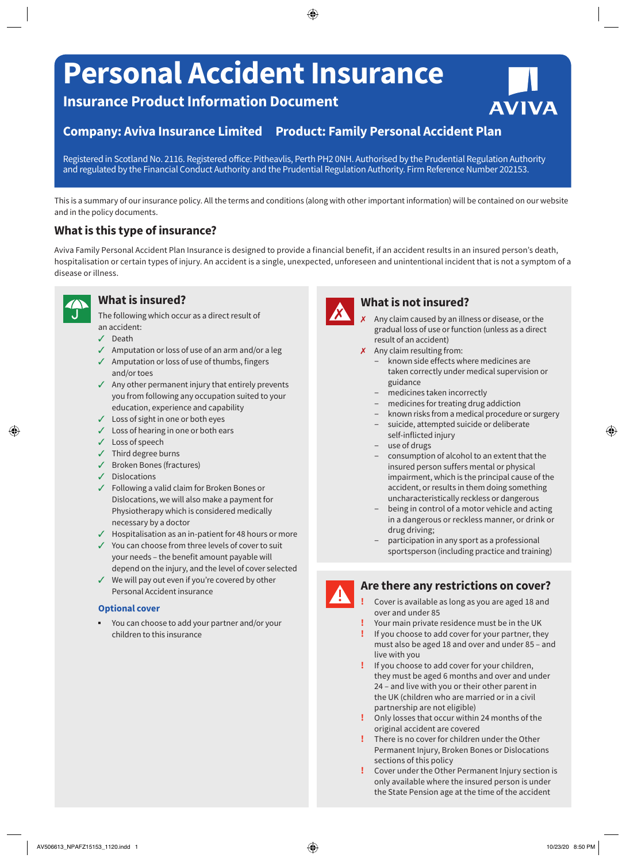# **Personal Accident Insurance**

# **Insurance Product Information Document**

## **Company: Aviva Insurance Limited Product: Family Personal Accident Plan**

Registered in Scotland No. 2116. Registered office: Pitheavlis, Perth PH2 0NH. Authorised by the Prudential Regulation Authority and regulated by the Financial Conduct Authority and the Prudential Regulation Authority. Firm Reference Number 202153.

This is a summary of our insurance policy. All the terms and conditions (along with other important information) will be contained on our website and in the policy documents.

### **What is this type of insurance?**

Aviva Family Personal Accident Plan Insurance is designed to provide a financial benefit, if an accident results in an insured person's death, hospitalisation or certain types of injury. An accident is a single, unexpected, unforeseen and unintentional incident that is not a symptom of a disease or illness.



### **What is insured?**

The following which occur as a direct result of an accident:

- $J$  Death
- $\sqrt{ }$  Amputation or loss of use of an arm and/or a leg
- $\checkmark$  Amputation or loss of use of thumbs, fingers and/or toes
- $\sqrt{ }$  Any other permanent injury that entirely prevents you from following any occupation suited to your education, experience and capability
- $J$  Loss of sight in one or both eyes
- $\checkmark$  Loss of hearing in one or both ears
- $\checkmark$  Loss of speech
- $J$  Third degree burns
- $\checkmark$  Broken Bones (fractures)
- $J$  Dislocations
- $\checkmark$  Following a valid claim for Broken Bones or Dislocations, we will also make a payment for Physiotherapy which is considered medically necessary by a doctor
- $\checkmark$  Hospitalisation as an in-patient for 48 hours or more
- $\checkmark$  You can choose from three levels of cover to suit your needs – the benefit amount payable will depend on the injury, and the level of cover selected
- $\checkmark$  We will pay out even if you're covered by other Personal Accident insurance

#### **Optional cover**

You can choose to add your partner and/or your children to this insurance



## **What is not insured?**

Any claim caused by an illness or disease, or the gradual loss of use or function (unless as a direct result of an accident)

**AVIVA** 

- X Any claim resulting from:
	- known side effects where medicines are taken correctly under medical supervision or guidance
	- medicines taken incorrectly
	- medicines for treating drug addiction
	- known risks from a medical procedure or surgery
	- suicide, attempted suicide or deliberate self-inflicted injury
	- use of drugs
	- consumption of alcohol to an extent that the insured person suffers mental or physical impairment, which is the principal cause of the accident, or results in them doing something uncharacteristically reckless or dangerous
	- being in control of a motor vehicle and acting in a dangerous or reckless manner, or drink or drug driving;
	- participation in any sport as a professional sportsperson (including practice and training)



#### **Are there any restrictions on cover?**

- **!** Cover is available as long as you are aged 18 and over and under 85
- **!** Your main private residence must be in the UK
- **!** If you choose to add cover for your partner, they must also be aged 18 and over and under 85 – and live with you
- **!** If you choose to add cover for your children, they must be aged 6 months and over and under 24 – and live with you or their other parent in the UK (children who are married or in a civil partnership are not eligible)
- **!** Only losses that occur within 24 months of the original accident are covered
- **!** There is no cover for children under the Other Permanent Injury, Broken Bones or Dislocations sections of this policy
- **!** Cover under the Other Permanent Injury section is only available where the insured person is under the State Pension age at the time of the accident